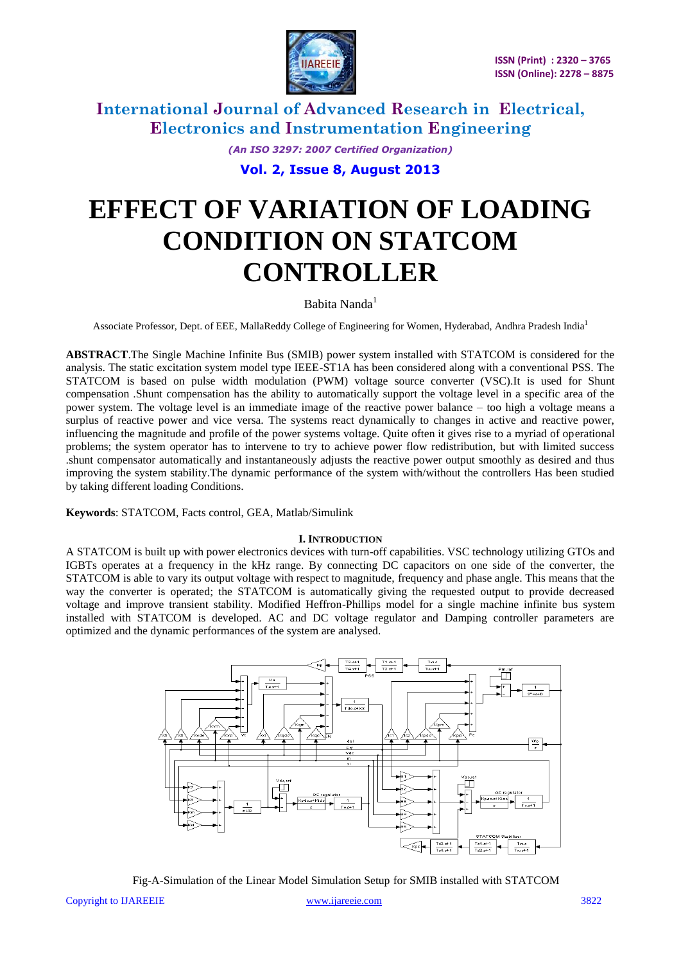

> *(An ISO 3297: 2007 Certified Organization)* **Vol. 2, Issue 8, August 2013**

# **EFFECT OF VARIATION OF LOADING CONDITION ON STATCOM CONTROLLER**

### Babita Nanda<sup>1</sup>

Associate Professor, Dept. of EEE, MallaReddy College of Engineering for Women, Hyderabad, Andhra Pradesh India<sup>1</sup>

**ABSTRACT**.The Single Machine Infinite Bus (SMIB) power system installed with STATCOM is considered for the analysis. The static excitation system model type IEEE-ST1A has been considered along with a conventional PSS. The STATCOM is based on pulse width modulation (PWM) voltage source converter (VSC).It is used for Shunt compensation .Shunt compensation has the ability to automatically support the voltage level in a specific area of the power system. The voltage level is an immediate image of the reactive power balance – too high a voltage means a surplus of reactive power and vice versa. The systems react dynamically to changes in active and reactive power, influencing the magnitude and profile of the power systems voltage. Quite often it gives rise to a myriad of operational problems; the system operator has to intervene to try to achieve power flow redistribution, but with limited success .shunt compensator automatically and instantaneously adjusts the reactive power output smoothly as desired and thus improving the system stability.The dynamic performance of the system with/without the controllers Has been studied by taking different loading Conditions.

**Keywords**: STATCOM, Facts control, GEA, Matlab/Simulink

#### **I. INTRODUCTION**

A STATCOM is built up with power electronics devices with turn-off capabilities. VSC technology utilizing GTOs and IGBTs operates at a frequency in the kHz range. By connecting DC capacitors on one side of the converter, the STATCOM is able to vary its output voltage with respect to magnitude, frequency and phase angle. This means that the way the converter is operated; the STATCOM is automatically giving the requested output to provide decreased voltage and improve transient stability. Modified Heffron-Phillips model for a single machine infinite bus system installed with STATCOM is developed. AC and DC voltage regulator and Damping controller parameters are optimized and the dynamic performances of the system are analysed.



Fig-A-Simulation of the Linear Model Simulation Setup for SMIB installed with STATCOM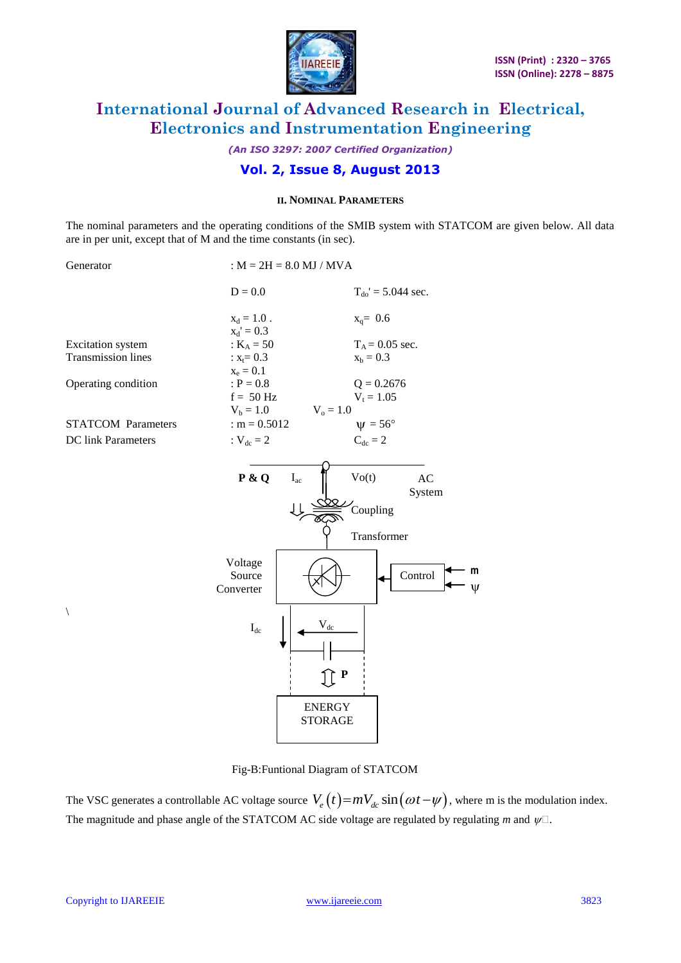

*(An ISO 3297: 2007 Certified Organization)*

### **Vol. 2, Issue 8, August 2013**

#### **II. NOMINAL PARAMETERS**

The nominal parameters and the operating conditions of the SMIB system with STATCOM are given below. All data are in per unit, except that of M and the time constants (in sec).

| Generator                 | : $M = 2H = 8.0$ MJ / MVA                                       |                                                                                                                                            |  |
|---------------------------|-----------------------------------------------------------------|--------------------------------------------------------------------------------------------------------------------------------------------|--|
|                           | $D = 0.0$                                                       | $T_{do}$ ' = 5.044 sec.                                                                                                                    |  |
|                           | $x_d = 1.0$ .                                                   | $x_q = 0.6$                                                                                                                                |  |
|                           | $x_d' = 0.3$                                                    |                                                                                                                                            |  |
| <b>Excitation</b> system  | : $K_A = 50$                                                    | $T_A = 0.05$ sec.                                                                                                                          |  |
| <b>Transmission lines</b> | $: x_t = 0.3$                                                   | $x_b = 0.3$                                                                                                                                |  |
|                           | $x_e = 0.1$                                                     |                                                                                                                                            |  |
| Operating condition       | $: P = 0.8$                                                     | $Q = 0.2676$                                                                                                                               |  |
|                           | $f = 50$ Hz                                                     | $V_t = 1.05$                                                                                                                               |  |
|                           | $V_b = 1.0$                                                     | $V_o = 1.0$                                                                                                                                |  |
| <b>STATCOM Parameters</b> | : $m = 0.5012$                                                  | $\Psi = 56^{\circ}$                                                                                                                        |  |
| DC link Parameters        | : $V_{dc} = 2$                                                  | $C_{dc} = 2$                                                                                                                               |  |
|                           | P & Q<br>$I_{ac}$<br>Voltage<br>Source<br>Converter<br>$I_{dc}$ | Vo(t)<br>AC<br>System<br>Coupling<br>Transformer<br>m<br>Control<br>$\rm V_{\underline{dc}}$<br>$\bf P$<br><b>ENERGY</b><br><b>STORAGE</b> |  |

Fig-B:Funtional Diagram of STATCOM

The VSC generates a controllable AC voltage source  $V_e(t) = mV_{de} \sin(\omega t - \psi)$ , where m is the modulation index. The magnitude and phase angle of the STATCOM AC side voltage are regulated by regulating *m* and  $\psi$ .

 $\setminus$ 

 $\Psi$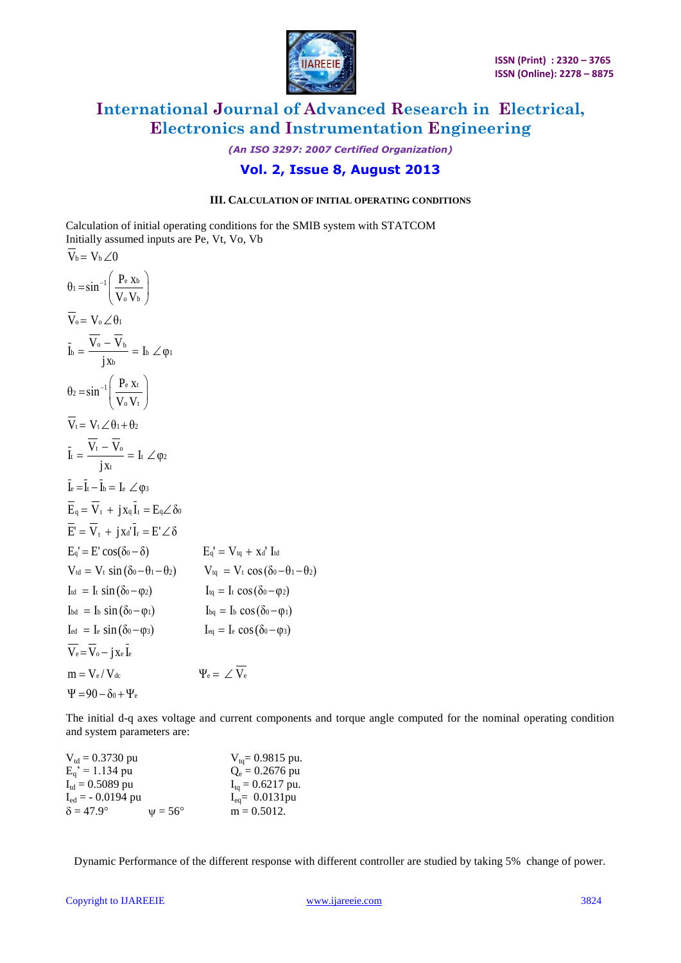

### *(An ISO 3297: 2007 Certified Organization)* **Vol. 2, Issue 8, August 2013**

#### **III. CALCULATION OF INITIAL OPERATING CONDITIONS**

Calculation of initial operating conditions for the SMIB system with STATCOM Calculation of finital operating conditions if<br>Initially assumed inputs are Pe, Vt, Vo, Vb<br> $\overline{V}_b = V_b \angle 0$ 

$$
\overline{V}_{b} = V_{b} \angle 0
$$
\n
$$
\theta_{1} = \sin^{-1} \left( \frac{P_{e} x_{b}}{V_{o} V_{b}} \right)
$$
\n
$$
\overline{V}_{o} = V_{o} \angle \theta_{1}
$$
\n
$$
\overline{I}_{b} = \frac{\overline{V}_{o} - \overline{V}_{b}}{j x_{b}} = I_{b} \angle \phi_{1}
$$
\n
$$
\theta_{2} = \sin^{-1} \left( \frac{P_{e} x_{t}}{V_{o} V_{t}} \right)
$$
\n
$$
\overline{V}_{t} = V_{t} \angle \theta_{1} + \theta_{2}
$$
\n
$$
\overline{I}_{t} = \frac{\overline{V}_{t} - \overline{V}_{o}}{j x_{t}} = I_{t} \angle \phi_{2}
$$
\n
$$
\overline{I}_{e} = \overline{I}_{t} - \overline{I}_{b} = I_{e} \angle \phi_{3}
$$
\n
$$
\overline{E}_{q} = \overline{V}_{t} + j x_{q} \overline{I}_{t} = E_{q} \angle \delta_{0}
$$
\n
$$
\overline{E} = \overline{V}_{t} + j x_{d} \overline{I}_{t} = E' \angle \delta
$$
\n
$$
E_{q} = E' \cos(\delta_{0} - \delta)
$$
\n
$$
E_{q} = V_{t} \cos(\delta_{0} - \theta_{1} - \theta_{2})
$$
\n
$$
I_{td} = I_{t} \sin(\delta_{0} - \theta_{1} - \theta_{2})
$$
\n
$$
V_{td} = V_{t} \cos(\delta_{0} - \theta_{2})
$$
\n
$$
I_{td} = I_{t} \cos(\delta_{0} - \phi_{2})
$$
\n
$$
I_{td} = I_{b} \sin(\delta_{0} - \phi_{2})
$$
\n
$$
I_{td} = I_{b} \cos(\delta_{0} - \phi_{2})
$$
\n
$$
I_{td} = I_{b} \cos(\delta_{0} - \phi_{1})
$$
\n
$$
I_{td} = I_{e} \cos(\delta_{0} - \phi_{2})
$$
\n
$$
\overline{V}_{e} = \overline{V}_{o} - j x_{e} \overline{I}_{e}
$$
\n $$ 

The initial d-q axes voltage and current components and torque angle computed for the nominal operating condition and system parameters are:

| $V_{\text{td}} = 0.3730 \text{ pu}$ |                  | $V_{\text{ta}} = 0.9815$ pu.         |
|-------------------------------------|------------------|--------------------------------------|
| $E_a' = 1.134 \text{ pu}$           |                  | $Q_e = 0.2676$ pu                    |
| $I_{\text{td}} = 0.5089$ pu         |                  | $I_{\text{ta}} = 0.6217 \text{ pu.}$ |
| $I_{\text{ed}}$ = - 0.0194 pu       |                  | $I_{eq} = 0.0131$ pu                 |
| $\delta = 47.9^{\circ}$             | $\nu = 56^\circ$ | $m = 0.5012$ .                       |

Dynamic Performance of the different response with different controller are studied by taking 5% change of power.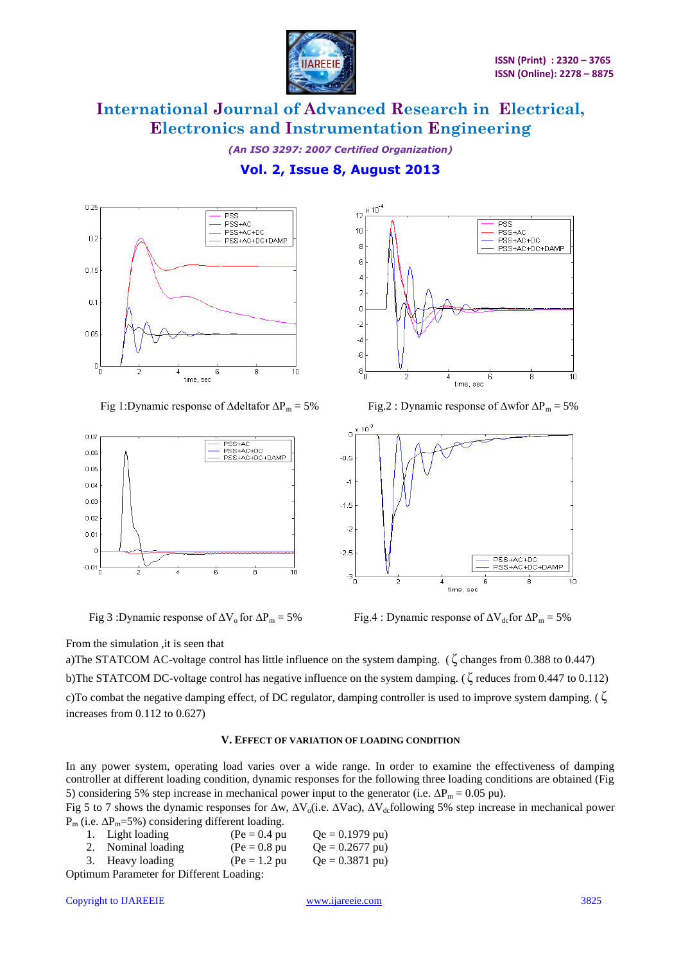

*(An ISO 3297: 2007 Certified Organization)* **Vol. 2, Issue 8, August 2013**







Fig 1:Dynamic response of ∆deltafor  $\Delta P_m = 5\%$  Fig.2 : Dynamic response of  $\Delta$ wfor  $\Delta P_m = 5\%$ 



Fig 3 :Dynamic response of  $\Delta V_o$  for  $\Delta P_m = 5\%$  Fig.4 : Dynamic response of  $\Delta V_{dc}$  for  $\Delta P_m = 5\%$ 

From the simulation ,it is seen that

a)The STATCOM AC-voltage control has little influence on the system damping. ( ζ changes from 0.388 to 0.447) b)The STATCOM DC-voltage control has negative influence on the system damping. (ζ reduces from 0.447 to 0.112) c)To combat the negative damping effect, of DC regulator, damping controller is used to improve system damping. ( ζ increases from 0.112 to 0.627)

#### **V. EFFECT OF VARIATION OF LOADING CONDITION**

In any power system, operating load varies over a wide range. In order to examine the effectiveness of damping controller at different loading condition, dynamic responses for the following three loading conditions are obtained (Fig 5) considering 5% step increase in mechanical power input to the generator (i.e.  $\Delta P_m = 0.05$  pu).

Fig 5 to 7 shows the dynamic responses for  $\Delta w$ ,  $\Delta V_o$ (i.e.  $\Delta V_{ac}$ Collowing 5% step increase in mechanical power  $P_m$  (i.e.  $\Delta P_m$ =5%) considering different loading.

|                                         | 1. Light loading   | $(Pe = 0.4 pu$  | $Qe = 0.1979 \text{ pu}$ |  |  |
|-----------------------------------------|--------------------|-----------------|--------------------------|--|--|
|                                         | 2. Nominal loading | $(Pe = 0.8 pu)$ | $Qe = 0.2677 \text{ pu}$ |  |  |
|                                         | 3. Heavy loading   | $(Pe = 1.2 pu)$ | $Qe = 0.3871 \text{ pu}$ |  |  |
| stimum Parameter for Different Loading: |                    |                 |                          |  |  |

Optimum Parameter for Different Loa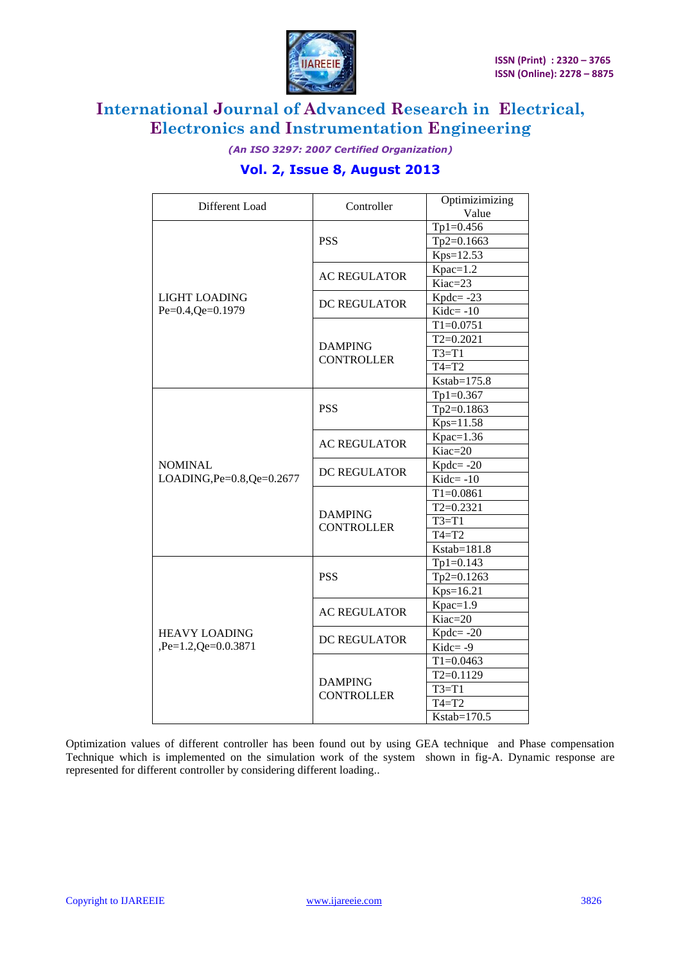

*(An ISO 3297: 2007 Certified Organization)*

### **Vol. 2, Issue 8, August 2013**

| Different Load                     | Controller                          | Optimizimizing |
|------------------------------------|-------------------------------------|----------------|
|                                    |                                     | Value          |
| LIGHT LOADING<br>Pe=0.4, Qe=0.1979 |                                     | $Tp1=0.456$    |
|                                    | <b>PSS</b>                          | Tp2=0.1663     |
|                                    |                                     | Kps=12.53      |
|                                    | <b>AC REGULATOR</b>                 | $Kpac=1.2$     |
|                                    |                                     | Kiac=23        |
|                                    | <b>DC REGULATOR</b>                 | $Kpdc = -23$   |
|                                    |                                     | $Kidc = -10$   |
|                                    | <b>DAMPING</b><br><b>CONTROLLER</b> | $T1 = 0.0751$  |
|                                    |                                     | $T2=0.2021$    |
|                                    |                                     | $T3=T1$        |
|                                    |                                     | $T4=T2$        |
|                                    |                                     | Kstab=175.8    |
|                                    |                                     | $Tp1=0.367$    |
|                                    | <b>PSS</b>                          | Tp2=0.1863     |
|                                    |                                     | Kps=11.58      |
|                                    | <b>AC REGULATOR</b>                 | $Kpac=1.36$    |
|                                    |                                     | Kiac=20        |
| <b>NOMINAL</b>                     | <b>DC REGULATOR</b>                 | $Kpdc = -20$   |
| LOADING, Pe=0.8, Qe=0.2677         |                                     | $Kidc = -10$   |
|                                    | <b>DAMPING</b><br><b>CONTROLLER</b> | $T1=0.0861$    |
|                                    |                                     | $T2=0.2321$    |
|                                    |                                     | $T3=T1$        |
|                                    |                                     | $T4=T2$        |
|                                    |                                     | Kstab=181.8    |
|                                    |                                     | $Tp1=0.143$    |
|                                    | <b>PSS</b>                          | Tp2=0.1263     |
|                                    |                                     | Kps=16.21      |
|                                    | <b>AC REGULATOR</b>                 | $Kpac=1.9$     |
| <b>HEAVY LOADING</b>               |                                     | Kiac=20        |
|                                    | <b>DC REGULATOR</b>                 | $Kpdc = -20$   |
| ,Pe=1.2,Qe=0.0.3871                |                                     | Kidc= $-9$     |
|                                    |                                     | $T1=0.0463$    |
|                                    | <b>DAMPING</b>                      | $T2=0.1129$    |
|                                    | <b>CONTROLLER</b>                   | $T3=T1$        |
|                                    |                                     | $T4=T2$        |
|                                    |                                     | Kstab=170.5    |

Optimization values of different controller has been found out by using GEA technique and Phase compensation Technique which is implemented on the simulation work of the system shown in fig-A. Dynamic response are represented for different controller by considering different loading..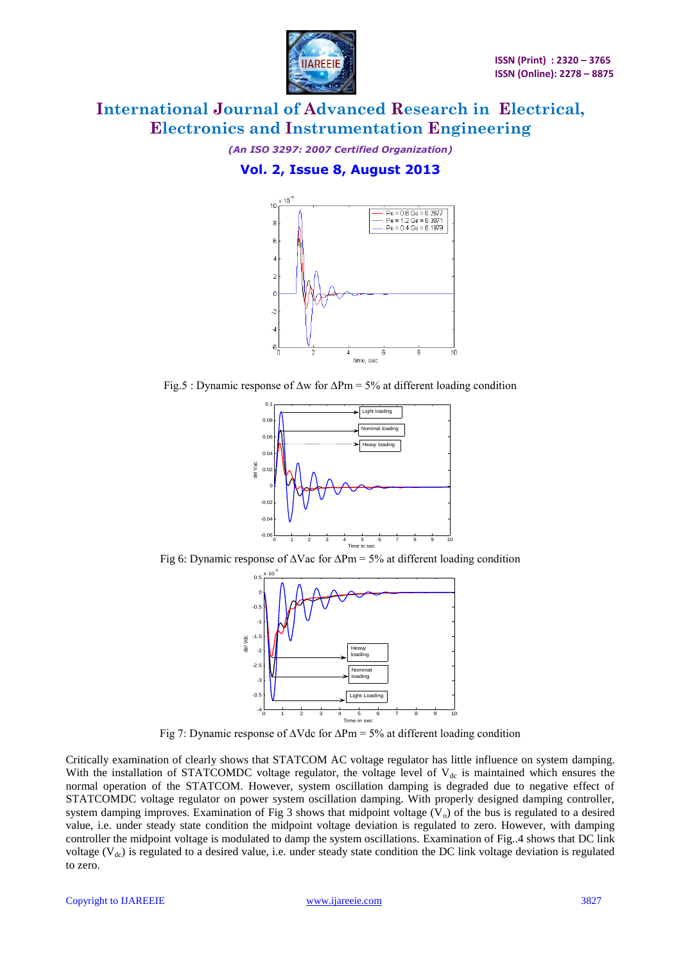

*(An ISO 3297: 2007 Certified Organization)*

### **Vol. 2, Issue 8, August 2013**



Fig.5 : Dynamic response of ∆w for ∆Pm = 5% at different loading condition



Fig 6: Dynamic response of ∆Vac for ∆Pm = 5% at different loading condition



Fig 7: Dynamic response of ∆Vdc for ∆Pm = 5% at different loading condition

Critically examination of clearly shows that STATCOM AC voltage regulator has little influence on system damping. With the installation of STATCOMDC voltage regulator, the voltage level of  $V_{dc}$  is maintained which ensures the normal operation of the STATCOM. However, system oscillation damping is degraded due to negative effect of STATCOMDC voltage regulator on power system oscillation damping. With properly designed damping controller, system damping improves. Examination of Fig 3 shows that midpoint voltage  $(V_0)$  of the bus is regulated to a desired value, i.e. under steady state condition the midpoint voltage deviation is regulated to zero. However, with damping controller the midpoint voltage is modulated to damp the system oscillations. Examination of Fig..4 shows that DC link voltage ( $V<sub>dc</sub>$ ) is regulated to a desired value, i.e. under steady state condition the DC link voltage deviation is regulated to zero.